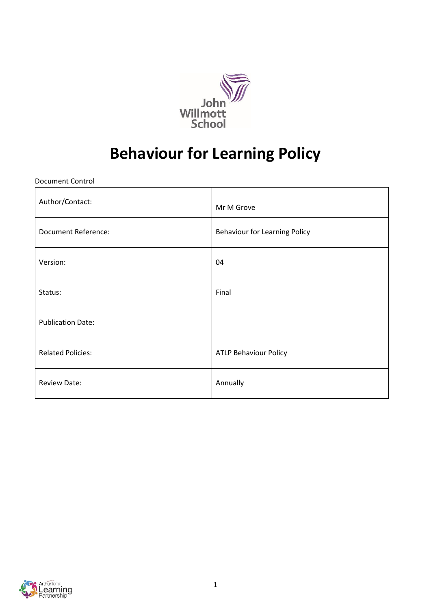

# **Behaviour for Learning Policy**

Document Control

| Author/Contact:            | Mr M Grove                           |
|----------------------------|--------------------------------------|
| <b>Document Reference:</b> | <b>Behaviour for Learning Policy</b> |
| Version:                   | 04                                   |
| Status:                    | Final                                |
| <b>Publication Date:</b>   |                                      |
| <b>Related Policies:</b>   | <b>ATLP Behaviour Policy</b>         |
| Review Date:               | Annually                             |

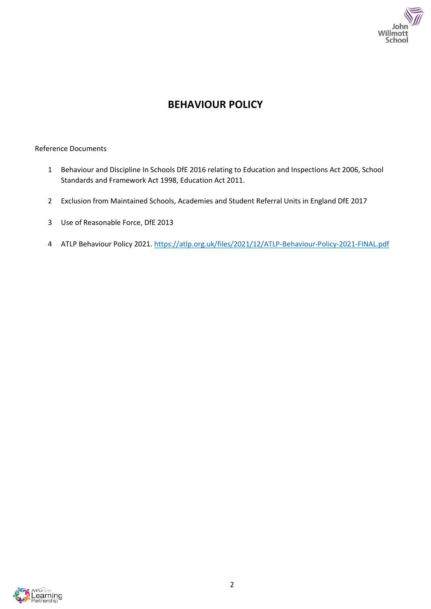

# **BEHAVIOUR POLICY**

#### Reference Documents

- 1 Behaviour and Discipline In Schools DfE 2016 relating to Education and Inspections Act 2006, School Standards and Framework Act 1998, Education Act 2011.
- 2 Exclusion from Maintained Schools, Academies and Student Referral Units in England DfE 2017
- 3 Use of Reasonable Force, DfE 2013
- 4 ATLP Behaviour Policy 2021.<https://atlp.org.uk/files/2021/12/ATLP-Behaviour-Policy-2021-FINAL.pdf>

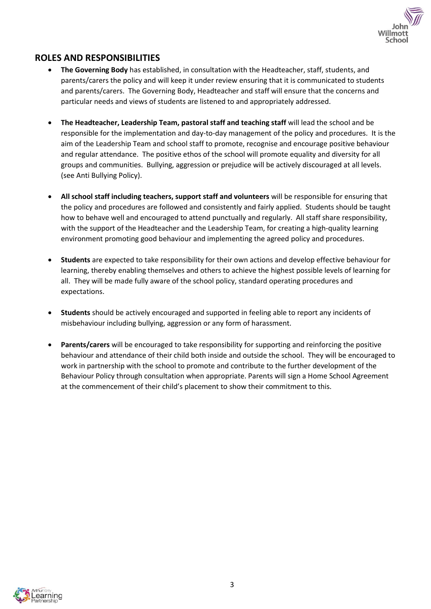

### **ROLES AND RESPONSIBILITIES**

- **The Governing Body** has established, in consultation with the Headteacher, staff, students, and parents/carers the policy and will keep it under review ensuring that it is communicated to students and parents/carers. The Governing Body, Headteacher and staff will ensure that the concerns and particular needs and views of students are listened to and appropriately addressed.
- **The Headteacher, Leadership Team, pastoral staff and teaching staff** will lead the school and be responsible for the implementation and day-to-day management of the policy and procedures. It is the aim of the Leadership Team and school staff to promote, recognise and encourage positive behaviour and regular attendance. The positive ethos of the school will promote equality and diversity for all groups and communities. Bullying, aggression or prejudice will be actively discouraged at all levels. (see Anti Bullying Policy).
- **All school staff including teachers, support staff and volunteers** will be responsible for ensuring that the policy and procedures are followed and consistently and fairly applied. Students should be taught how to behave well and encouraged to attend punctually and regularly. All staff share responsibility, with the support of the Headteacher and the Leadership Team, for creating a high-quality learning environment promoting good behaviour and implementing the agreed policy and procedures.
- **Students** are expected to take responsibility for their own actions and develop effective behaviour for learning, thereby enabling themselves and others to achieve the highest possible levels of learning for all. They will be made fully aware of the school policy, standard operating procedures and expectations.
- **Students** should be actively encouraged and supported in feeling able to report any incidents of misbehaviour including bullying, aggression or any form of harassment.
- **Parents/carers** will be encouraged to take responsibility for supporting and reinforcing the positive behaviour and attendance of their child both inside and outside the school. They will be encouraged to work in partnership with the school to promote and contribute to the further development of the Behaviour Policy through consultation when appropriate. Parents will sign a Home School Agreement at the commencement of their child's placement to show their commitment to this.

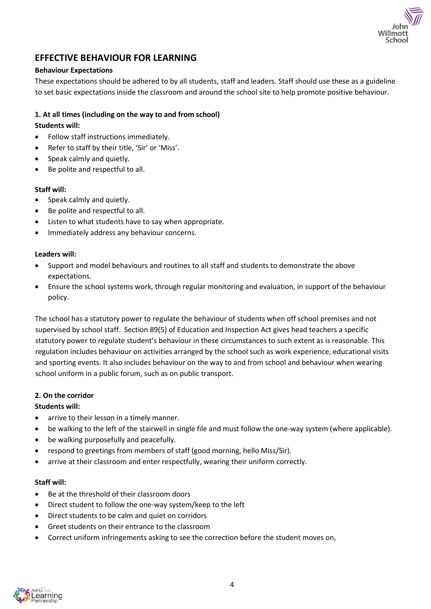# **EFFECTIVE BEHAVIOUR FOR LEARNING**

#### **Behaviour Expectations**

These expectations should be adhered to by all students, staff and leaders. Staff should use these as a guideline to set basic expectations inside the classroom and around the school site to help promote positive behaviour.

#### **1. At all times (including on the way to and from school)**

#### **Students will:**

- Follow staff instructions immediately.
- Refer to staff by their title, 'Sir' or 'Miss'.
- Speak calmly and quietly.
- Be polite and respectful to all.

#### **Staff will:**

- Speak calmly and quietly.
- Be polite and respectful to all.
- Listen to what students have to say when appropriate.
- Immediately address any behaviour concerns.

#### **Leaders will:**

- Support and model behaviours and routines to all staff and students to demonstrate the above expectations.
- Ensure the school systems work, through regular monitoring and evaluation, in support of the behaviour policy.

The school has a statutory power to regulate the behaviour of students when off school premises and not supervised by school staff. Section 89(5) of Education and Inspection Act gives head teachers a specific statutory power to regulate student's behaviour in these circumstances to such extent as is reasonable. This regulation includes behaviour on activities arranged by the school such as work experience, educational visits and sporting events. It also includes behaviour on the way to and from school and behaviour when wearing school uniform in a public forum, such as on public transport.

#### **2. On the corridor**

#### **Students will:**

- arrive to their lesson in a timely manner.
- be walking to the left of the stairwell in single file and must follow the one-way system (where applicable).
- be walking purposefully and peacefully.
- respond to greetings from members of staff (good morning, hello Miss/Sir).
- arrive at their classroom and enter respectfully, wearing their uniform correctly.

#### **Staff will:**

- Be at the threshold of their classroom doors
- Direct student to follow the one-way system/keep to the left
- Direct students to be calm and quiet on corridors
- Greet students on their entrance to the classroom
- Correct uniform infringements asking to see the correction before the student moves on,

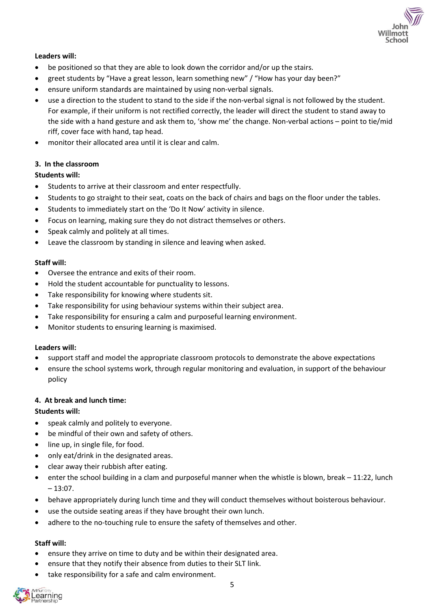

#### **Leaders will:**

- be positioned so that they are able to look down the corridor and/or up the stairs.
- greet students by "Have a great lesson, learn something new" / "How has your day been?"
- ensure uniform standards are maintained by using non-verbal signals.
- use a direction to the student to stand to the side if the non-verbal signal is not followed by the student. For example, if their uniform is not rectified correctly, the leader will direct the student to stand away to the side with a hand gesture and ask them to, 'show me' the change. Non-verbal actions – point to tie/mid riff, cover face with hand, tap head.
- monitor their allocated area until it is clear and calm.

#### **3. In the classroom**

#### **Students will:**

- Students to arrive at their classroom and enter respectfully.
- Students to go straight to their seat, coats on the back of chairs and bags on the floor under the tables.
- Students to immediately start on the 'Do It Now' activity in silence.
- Focus on learning, making sure they do not distract themselves or others.
- Speak calmly and politely at all times.
- Leave the classroom by standing in silence and leaving when asked.

#### **Staff will:**

- Oversee the entrance and exits of their room.
- Hold the student accountable for punctuality to lessons.
- Take responsibility for knowing where students sit.
- Take responsibility for using behaviour systems within their subject area.
- Take responsibility for ensuring a calm and purposeful learning environment.
- Monitor students to ensuring learning is maximised.

#### **Leaders will:**

- support staff and model the appropriate classroom protocols to demonstrate the above expectations
- ensure the school systems work, through regular monitoring and evaluation, in support of the behaviour policy

#### **4. At break and lunch time:**

#### **Students will:**

- speak calmly and politely to everyone.
- be mindful of their own and safety of others.
- line up, in single file, for food.
- only eat/drink in the designated areas.
- clear away their rubbish after eating.
- enter the school building in a clam and purposeful manner when the whistle is blown, break 11:22, lunch  $-13:07.$
- behave appropriately during lunch time and they will conduct themselves without boisterous behaviour.
- use the outside seating areas if they have brought their own lunch.
- adhere to the no-touching rule to ensure the safety of themselves and other.

#### **Staff will:**

- ensure they arrive on time to duty and be within their designated area.
- ensure that they notify their absence from duties to their SLT link.
- take responsibility for a safe and calm environment.

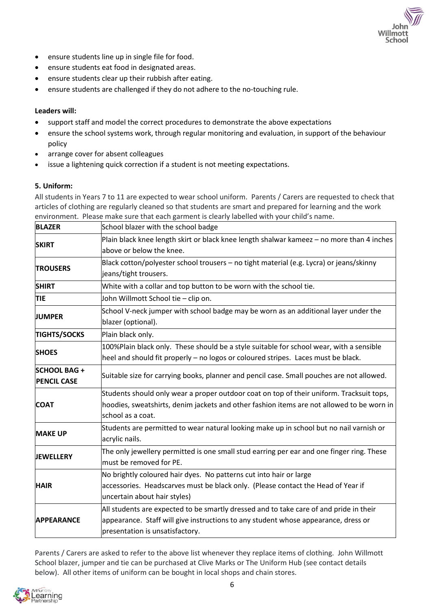- ensure students line up in single file for food.
- ensure students eat food in designated areas.
- ensure students clear up their rubbish after eating.
- ensure students are challenged if they do not adhere to the no-touching rule.

#### **Leaders will:**

- support staff and model the correct procedures to demonstrate the above expectations
- ensure the school systems work, through regular monitoring and evaluation, in support of the behaviour policy

Willmot

- arrange cover for absent colleagues
- issue a lightening quick correction if a student is not meeting expectations.

#### **5. Uniform:**

All students in Years 7 to 11 are expected to wear school uniform. Parents / Carers are requested to check that articles of clothing are regularly cleaned so that students are smart and prepared for learning and the work environment. Please make sure that each garment is clearly labelled with your child's name.

| <b>BLAZER</b>                            | School blazer with the school badge                                                                                                                                                                             |
|------------------------------------------|-----------------------------------------------------------------------------------------------------------------------------------------------------------------------------------------------------------------|
| <b>SKIRT</b>                             | Plain black knee length skirt or black knee length shalwar kameez - no more than 4 inches<br>above or below the knee.                                                                                           |
| <b>TROUSERS</b>                          | Black cotton/polyester school trousers - no tight material (e.g. Lycra) or jeans/skinny<br>jeans/tight trousers.                                                                                                |
| <b>SHIRT</b>                             | White with a collar and top button to be worn with the school tie.                                                                                                                                              |
| <b>TIE</b>                               | John Willmott School tie - clip on.                                                                                                                                                                             |
| <b>JUMPER</b>                            | School V-neck jumper with school badge may be worn as an additional layer under the<br>blazer (optional).                                                                                                       |
| <b>TIGHTS/SOCKS</b>                      | Plain black only.                                                                                                                                                                                               |
| <b>SHOES</b>                             | 100%Plain black only. These should be a style suitable for school wear, with a sensible<br>heel and should fit properly - no logos or coloured stripes. Laces must be black.                                    |
| <b>SCHOOL BAG+</b><br><b>PENCIL CASE</b> | Suitable size for carrying books, planner and pencil case. Small pouches are not allowed.                                                                                                                       |
| <b>COAT</b>                              | Students should only wear a proper outdoor coat on top of their uniform. Tracksuit tops,<br>hoodies, sweatshirts, denim jackets and other fashion items are not allowed to be worn in<br>school as a coat.      |
| <b>MAKE UP</b>                           | Students are permitted to wear natural looking make up in school but no nail varnish or<br>acrylic nails.                                                                                                       |
| <b>JEWELLERY</b>                         | The only jewellery permitted is one small stud earring per ear and one finger ring. These<br>must be removed for PE.                                                                                            |
| <b>HAIR</b>                              | No brightly coloured hair dyes. No patterns cut into hair or large<br>accessories. Headscarves must be black only. (Please contact the Head of Year if<br>uncertain about hair styles)                          |
| <b>APPEARANCE</b>                        | All students are expected to be smartly dressed and to take care of and pride in their<br>appearance. Staff will give instructions to any student whose appearance, dress or<br>presentation is unsatisfactory. |

Parents / Carers are asked to refer to the above list whenever they replace items of clothing. John Willmott School blazer, jumper and tie can be purchased at Clive Marks or The Uniform Hub (see contact details below). All other items of uniform can be bought in local shops and chain stores.

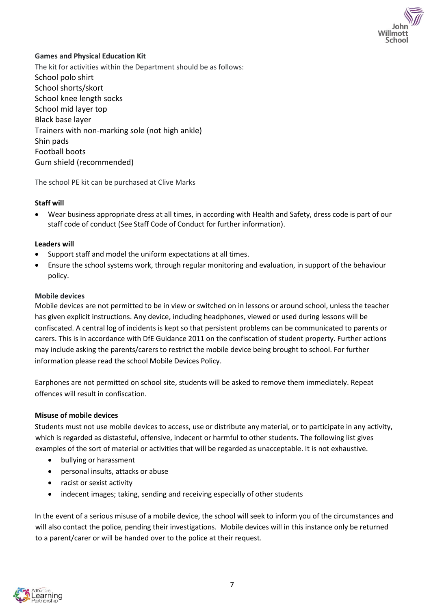

#### **Games and Physical Education Kit**

The kit for activities within the Department should be as follows: School polo shirt School shorts/skort School knee length socks School mid layer top Black base layer Trainers with non-marking sole (not high ankle) Shin pads Football boots Gum shield (recommended)

The school PE kit can be purchased at Clive Marks

#### **Staff will**

• Wear business appropriate dress at all times, in according with Health and Safety, dress code is part of our staff code of conduct (See Staff Code of Conduct for further information).

#### **Leaders will**

- Support staff and model the uniform expectations at all times.
- Ensure the school systems work, through regular monitoring and evaluation, in support of the behaviour policy.

#### **Mobile devices**

Mobile devices are not permitted to be in view or switched on in lessons or around school, unless the teacher has given explicit instructions. Any device, including headphones, viewed or used during lessons will be confiscated. A central log of incidents is kept so that persistent problems can be communicated to parents or carers. This is in accordance with DfE Guidance 2011 on the confiscation of student property. Further actions may include asking the parents/carers to restrict the mobile device being brought to school. For further information please read the school Mobile Devices Policy.

Earphones are not permitted on school site, students will be asked to remove them immediately. Repeat offences will result in confiscation.

#### **Misuse of mobile devices**

Students must not use mobile devices to access, use or distribute any material, or to participate in any activity, which is regarded as distasteful, offensive, indecent or harmful to other students. The following list gives examples of the sort of material or activities that will be regarded as unacceptable. It is not exhaustive.

- bullying or harassment
- personal insults, attacks or abuse
- racist or sexist activity
- indecent images; taking, sending and receiving especially of other students

In the event of a serious misuse of a mobile device, the school will seek to inform you of the circumstances and will also contact the police, pending their investigations. Mobile devices will in this instance only be returned to a parent/carer or will be handed over to the police at their request.

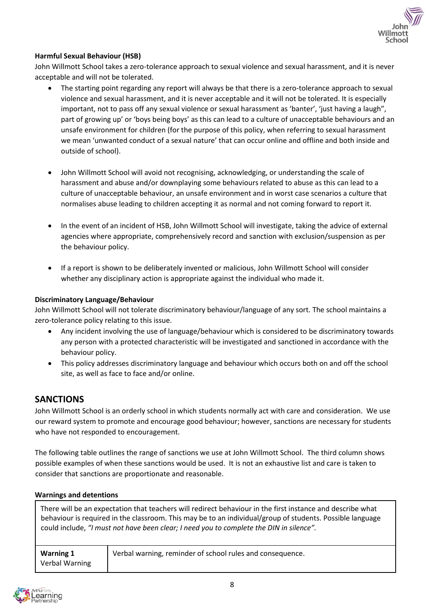

#### **Harmful Sexual Behaviour (HSB)**

John Willmott School takes a zero-tolerance approach to sexual violence and sexual harassment, and it is never acceptable and will not be tolerated.

- The starting point regarding any report will always be that there is a zero-tolerance approach to sexual violence and sexual harassment, and it is never acceptable and it will not be tolerated. It is especially important, not to pass off any sexual violence or sexual harassment as 'banter', 'just having a laugh", part of growing up' or 'boys being boys' as this can lead to a culture of unacceptable behaviours and an unsafe environment for children (for the purpose of this policy, when referring to sexual harassment we mean 'unwanted conduct of a sexual nature' that can occur online and offline and both inside and outside of school).
- John Willmott School will avoid not recognising, acknowledging, or understanding the scale of harassment and abuse and/or downplaying some behaviours related to abuse as this can lead to a culture of unacceptable behaviour, an unsafe environment and in worst case scenarios a culture that normalises abuse leading to children accepting it as normal and not coming forward to report it.
- In the event of an incident of HSB, John Willmott School will investigate, taking the advice of external agencies where appropriate, comprehensively record and sanction with exclusion/suspension as per the behaviour policy.
- If a report is shown to be deliberately invented or malicious, John Willmott School will consider whether any disciplinary action is appropriate against the individual who made it.

#### **Discriminatory Language/Behaviour**

John Willmott School will not tolerate discriminatory behaviour/language of any sort. The school maintains a zero-tolerance policy relating to this issue.

- Any incident involving the use of language/behaviour which is considered to be discriminatory towards any person with a protected characteristic will be investigated and sanctioned in accordance with the behaviour policy.
- This policy addresses discriminatory language and behaviour which occurs both on and off the school site, as well as face to face and/or online.

#### **SANCTIONS**

John Willmott School is an orderly school in which students normally act with care and consideration. We use our reward system to promote and encourage good behaviour; however, sanctions are necessary for students who have not responded to encouragement.

The following table outlines the range of sanctions we use at John Willmott School. The third column shows possible examples of when these sanctions would be used. It is not an exhaustive list and care is taken to consider that sanctions are proportionate and reasonable.

#### **Warnings and detentions**

There will be an expectation that teachers will redirect behaviour in the first instance and describe what behaviour is required in the classroom. This may be to an individual/group of students. Possible language could include, *"I must not have been clear; I need you to complete the DIN in silence".*

| Warning 1      | Verbal warning, reminder of school rules and consequence. |
|----------------|-----------------------------------------------------------|
| Verbal Warning |                                                           |

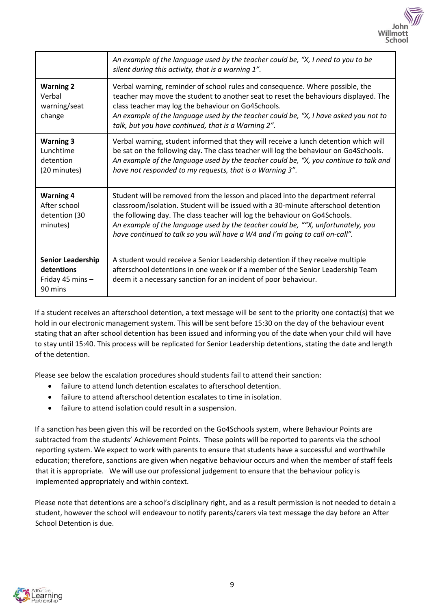

|                                                                       | An example of the language used by the teacher could be, "X, I need to you to be<br>silent during this activity, that is a warning 1".                                                                                                                                                                                                                                                                                  |
|-----------------------------------------------------------------------|-------------------------------------------------------------------------------------------------------------------------------------------------------------------------------------------------------------------------------------------------------------------------------------------------------------------------------------------------------------------------------------------------------------------------|
| <b>Warning 2</b><br>Verbal<br>warning/seat<br>change                  | Verbal warning, reminder of school rules and consequence. Where possible, the<br>teacher may move the student to another seat to reset the behaviours displayed. The<br>class teacher may log the behaviour on Go4Schools.<br>An example of the language used by the teacher could be, "X, I have asked you not to<br>talk, but you have continued, that is a Warning 2".                                               |
| <b>Warning 3</b><br>Lunchtime<br>detention<br>(20 minutes)            | Verbal warning, student informed that they will receive a lunch detention which will<br>be sat on the following day. The class teacher will log the behaviour on Go4Schools.<br>An example of the language used by the teacher could be, "X, you continue to talk and<br>have not responded to my requests, that is a Warning 3".                                                                                       |
| <b>Warning 4</b><br>After school<br>detention (30<br>minutes)         | Student will be removed from the lesson and placed into the department referral<br>classroom/isolation. Student will be issued with a 30-minute afterschool detention<br>the following day. The class teacher will log the behaviour on Go4Schools.<br>An example of the language used by the teacher could be, ""X, unfortunately, you<br>have continued to talk so you will have a W4 and I'm going to call on-call". |
| <b>Senior Leadership</b><br>detentions<br>Friday 45 mins -<br>90 mins | A student would receive a Senior Leadership detention if they receive multiple<br>afterschool detentions in one week or if a member of the Senior Leadership Team<br>deem it a necessary sanction for an incident of poor behaviour.                                                                                                                                                                                    |

If a student receives an afterschool detention, a text message will be sent to the priority one contact(s) that we hold in our electronic management system. This will be sent before 15:30 on the day of the behaviour event stating that an after school detention has been issued and informing you of the date when your child will have to stay until 15:40. This process will be replicated for Senior Leadership detentions, stating the date and length of the detention.

Please see below the escalation procedures should students fail to attend their sanction:

- failure to attend lunch detention escalates to afterschool detention.
- failure to attend afterschool detention escalates to time in isolation.
- failure to attend isolation could result in a suspension.

If a sanction has been given this will be recorded on the Go4Schools system, where Behaviour Points are subtracted from the students' Achievement Points. These points will be reported to parents via the school reporting system. We expect to work with parents to ensure that students have a successful and worthwhile education; therefore, sanctions are given when negative behaviour occurs and when the member of staff feels that it is appropriate. We will use our professional judgement to ensure that the behaviour policy is implemented appropriately and within context.

Please note that detentions are a school's disciplinary right, and as a result permission is not needed to detain a student, however the school will endeavour to notify parents/carers via text message the day before an After School Detention is due.

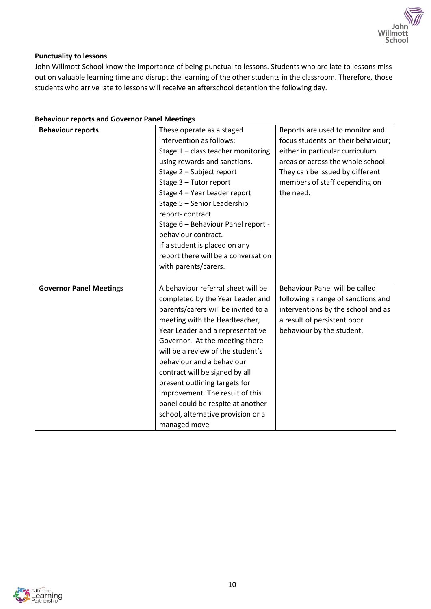

#### **Punctuality to lessons**

John Willmott School know the importance of being punctual to lessons. Students who are late to lessons miss out on valuable learning time and disrupt the learning of the other students in the classroom. Therefore, those students who arrive late to lessons will receive an afterschool detention the following day.

| <b>Behaviour reports</b>       | These operate as a staged                          | Reports are used to monitor and    |
|--------------------------------|----------------------------------------------------|------------------------------------|
|                                | intervention as follows:                           | focus students on their behaviour; |
|                                | Stage 1 - class teacher monitoring                 | either in particular curriculum    |
|                                | using rewards and sanctions.                       | areas or across the whole school.  |
|                                | Stage 2 - Subject report                           | They can be issued by different    |
|                                | Stage 3 - Tutor report                             | members of staff depending on      |
|                                | Stage 4 - Year Leader report                       | the need.                          |
|                                | Stage 5 - Senior Leadership                        |                                    |
|                                | report-contract                                    |                                    |
|                                | Stage 6 - Behaviour Panel report -                 |                                    |
|                                | behaviour contract.                                |                                    |
|                                | If a student is placed on any                      |                                    |
|                                | report there will be a conversation                |                                    |
|                                | with parents/carers.                               |                                    |
|                                |                                                    |                                    |
| <b>Governor Panel Meetings</b> | A behaviour referral sheet will be                 | Behaviour Panel will be called     |
|                                | completed by the Year Leader and                   | following a range of sanctions and |
|                                | parents/carers will be invited to a                | interventions by the school and as |
|                                | meeting with the Headteacher,                      | a result of persistent poor        |
|                                | Year Leader and a representative                   | behaviour by the student.          |
|                                | Governor. At the meeting there                     |                                    |
|                                | will be a review of the student's                  |                                    |
|                                | behaviour and a behaviour                          |                                    |
|                                | contract will be signed by all                     |                                    |
|                                | present outlining targets for                      |                                    |
|                                | improvement. The result of this                    |                                    |
|                                | panel could be respite at another                  |                                    |
|                                |                                                    |                                    |
|                                | school, alternative provision or a<br>managed move |                                    |

#### **Behaviour reports and Governor Panel Meetings**

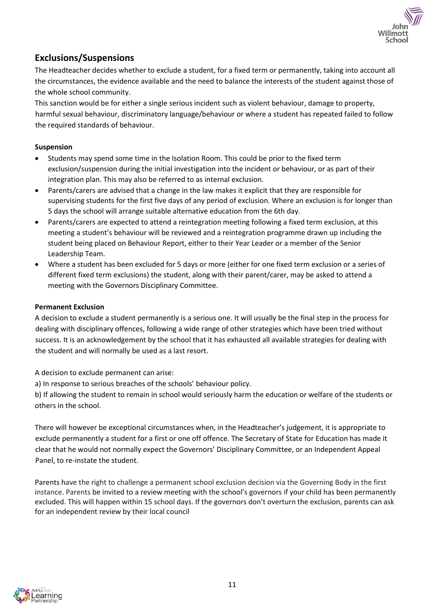

# **Exclusions/Suspensions**

The Headteacher decides whether to exclude a student, for a fixed term or permanently, taking into account all the circumstances, the evidence available and the need to balance the interests of the student against those of the whole school community.

This sanction would be for either a single serious incident such as violent behaviour, damage to property, harmful sexual behaviour, discriminatory language/behaviour or where a student has repeated failed to follow the required standards of behaviour.

#### **Suspension**

- Students may spend some time in the Isolation Room. This could be prior to the fixed term exclusion/suspension during the initial investigation into the incident or behaviour, or as part of their integration plan. This may also be referred to as internal exclusion.
- Parents/carers are advised that a change in the law makes it explicit that they are responsible for supervising students for the first five days of any period of exclusion. Where an exclusion is for longer than 5 days the school will arrange suitable alternative education from the 6th day.
- Parents/carers are expected to attend a reintegration meeting following a fixed term exclusion, at this meeting a student's behaviour will be reviewed and a reintegration programme drawn up including the student being placed on Behaviour Report, either to their Year Leader or a member of the Senior Leadership Team.
- Where a student has been excluded for 5 days or more (either for one fixed term exclusion or a series of different fixed term exclusions) the student, along with their parent/carer, may be asked to attend a meeting with the Governors Disciplinary Committee.

#### **Permanent Exclusion**

A decision to exclude a student permanently is a serious one. It will usually be the final step in the process for dealing with disciplinary offences, following a wide range of other strategies which have been tried without success. It is an acknowledgement by the school that it has exhausted all available strategies for dealing with the student and will normally be used as a last resort.

A decision to exclude permanent can arise:

a) In response to serious breaches of the schools' behaviour policy.

b) If allowing the student to remain in school would seriously harm the education or welfare of the students or others in the school.

There will however be exceptional circumstances when, in the Headteacher's judgement, it is appropriate to exclude permanently a student for a first or one off offence. The Secretary of State for Education has made it clear that he would not normally expect the Governors' Disciplinary Committee, or an Independent Appeal Panel, to re-instate the student.

Parents have the right to challenge a permanent school exclusion decision via the Governing Body in the first instance. Parents be invited to a review meeting with the school's governors if your child has been permanently excluded. This will happen within 15 school days. If the governors don't overturn the exclusion, parents can ask for an independent review by their local council

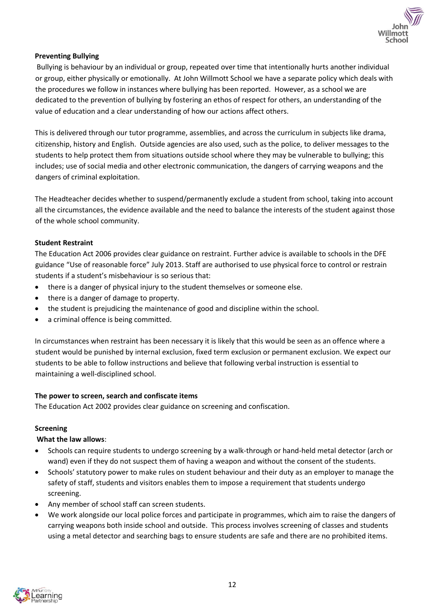

#### **Preventing Bullying**

Bullying is behaviour by an individual or group, repeated over time that intentionally hurts another individual or group, either physically or emotionally. At John Willmott School we have a separate policy which deals with the procedures we follow in instances where bullying has been reported. However, as a school we are dedicated to the prevention of bullying by fostering an ethos of respect for others, an understanding of the value of education and a clear understanding of how our actions affect others.

This is delivered through our tutor programme, assemblies, and across the curriculum in subjects like drama, citizenship, history and English. Outside agencies are also used, such as the police, to deliver messages to the students to help protect them from situations outside school where they may be vulnerable to bullying; this includes; use of social media and other electronic communication, the dangers of carrying weapons and the dangers of criminal exploitation.

The Headteacher decides whether to suspend/permanently exclude a student from school, taking into account all the circumstances, the evidence available and the need to balance the interests of the student against those of the whole school community.

#### **Student Restraint**

The Education Act 2006 provides clear guidance on restraint. Further advice is available to schools in the DFE guidance "Use of reasonable force" July 2013. Staff are authorised to use physical force to control or restrain students if a student's misbehaviour is so serious that:

- there is a danger of physical injury to the student themselves or someone else.
- there is a danger of damage to property.
- the student is prejudicing the maintenance of good and discipline within the school.
- a criminal offence is being committed.

In circumstances when restraint has been necessary it is likely that this would be seen as an offence where a student would be punished by internal exclusion, fixed term exclusion or permanent exclusion. We expect our students to be able to follow instructions and believe that following verbal instruction is essential to maintaining a well-disciplined school.

#### **The power to screen, search and confiscate items**

The Education Act 2002 provides clear guidance on screening and confiscation.

#### **Screening**

#### **What the law allows**:

- Schools can require students to undergo screening by a walk-through or hand-held metal detector (arch or wand) even if they do not suspect them of having a weapon and without the consent of the students.
- Schools' statutory power to make rules on student behaviour and their duty as an employer to manage the safety of staff, students and visitors enables them to impose a requirement that students undergo screening.
- Any member of school staff can screen students.
- We work alongside our local police forces and participate in programmes, which aim to raise the dangers of carrying weapons both inside school and outside. This process involves screening of classes and students using a metal detector and searching bags to ensure students are safe and there are no prohibited items.

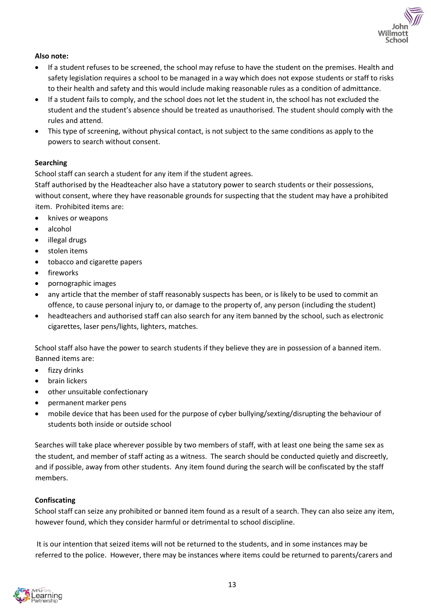

#### **Also note:**

- If a student refuses to be screened, the school may refuse to have the student on the premises. Health and safety legislation requires a school to be managed in a way which does not expose students or staff to risks to their health and safety and this would include making reasonable rules as a condition of admittance.
- If a student fails to comply, and the school does not let the student in, the school has not excluded the student and the student's absence should be treated as unauthorised. The student should comply with the rules and attend.
- This type of screening, without physical contact, is not subject to the same conditions as apply to the powers to search without consent.

#### **Searching**

School staff can search a student for any item if the student agrees.

Staff authorised by the Headteacher also have a statutory power to search students or their possessions, without consent, where they have reasonable grounds for suspecting that the student may have a prohibited item. Prohibited items are:

- knives or weapons
- alcohol
- illegal drugs
- stolen items
- tobacco and cigarette papers
- **fireworks**
- pornographic images
- any article that the member of staff reasonably suspects has been, or is likely to be used to commit an offence, to cause personal injury to, or damage to the property of, any person (including the student)
- headteachers and authorised staff can also search for any item banned by the school, such as electronic cigarettes, laser pens/lights, lighters, matches.

School staff also have the power to search students if they believe they are in possession of a banned item. Banned items are:

- fizzy drinks
- brain lickers
- other unsuitable confectionary
- permanent marker pens
- mobile device that has been used for the purpose of cyber bullying/sexting/disrupting the behaviour of students both inside or outside school

Searches will take place wherever possible by two members of staff, with at least one being the same sex as the student, and member of staff acting as a witness. The search should be conducted quietly and discreetly, and if possible, away from other students. Any item found during the search will be confiscated by the staff members.

#### **Confiscating**

School staff can seize any prohibited or banned item found as a result of a search. They can also seize any item, however found, which they consider harmful or detrimental to school discipline.

It is our intention that seized items will not be returned to the students, and in some instances may be referred to the police. However, there may be instances where items could be returned to parents/carers and

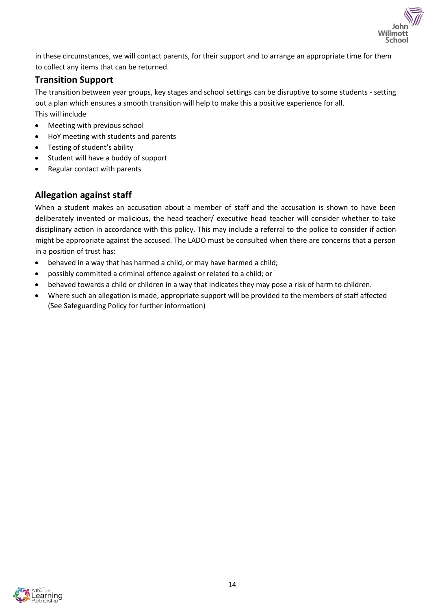

in these circumstances, we will contact parents, for their support and to arrange an appropriate time for them to collect any items that can be returned.

# **Transition Support**

The transition between year groups, key stages and school settings can be disruptive to some students - setting out a plan which ensures a smooth transition will help to make this a positive experience for all. This will include

- Meeting with previous school
- HoY meeting with students and parents
- Testing of student's ability
- Student will have a buddy of support
- Regular contact with parents

# **Allegation against staff**

When a student makes an accusation about a member of staff and the accusation is shown to have been deliberately invented or malicious, the head teacher/ executive head teacher will consider whether to take disciplinary action in accordance with this policy. This may include a referral to the police to consider if action might be appropriate against the accused. The LADO must be consulted when there are concerns that a person in a position of trust has:

- behaved in a way that has harmed a child, or may have harmed a child;
- possibly committed a criminal offence against or related to a child; or
- behaved towards a child or children in a way that indicates they may pose a risk of harm to children.
- Where such an allegation is made, appropriate support will be provided to the members of staff affected (See Safeguarding Policy for further information)

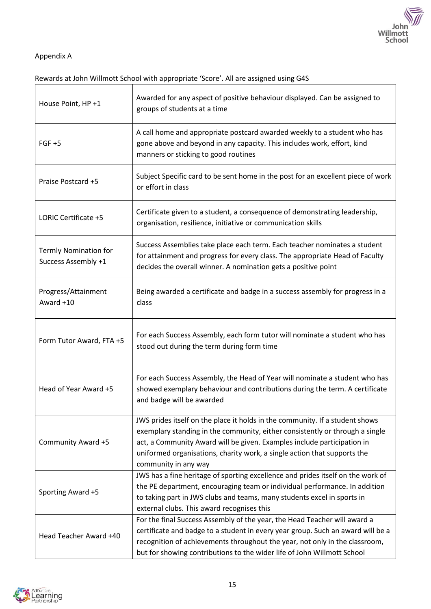

 $\overline{\phantom{0}}$ 

# Appendix A

# Rewards at John Willmott School with appropriate 'Score'. All are assigned using G4S

| House Point, HP +1                                  | Awarded for any aspect of positive behaviour displayed. Can be assigned to<br>groups of students at a time                                                                                                                                                                                                                                  |  |
|-----------------------------------------------------|---------------------------------------------------------------------------------------------------------------------------------------------------------------------------------------------------------------------------------------------------------------------------------------------------------------------------------------------|--|
| $FGF + 5$                                           | A call home and appropriate postcard awarded weekly to a student who has<br>gone above and beyond in any capacity. This includes work, effort, kind<br>manners or sticking to good routines                                                                                                                                                 |  |
| Praise Postcard +5                                  | Subject Specific card to be sent home in the post for an excellent piece of work<br>or effort in class                                                                                                                                                                                                                                      |  |
| LORIC Certificate +5                                | Certificate given to a student, a consequence of demonstrating leadership,<br>organisation, resilience, initiative or communication skills                                                                                                                                                                                                  |  |
| <b>Termly Nomination for</b><br>Success Assembly +1 | Success Assemblies take place each term. Each teacher nominates a student<br>for attainment and progress for every class. The appropriate Head of Faculty<br>decides the overall winner. A nomination gets a positive point                                                                                                                 |  |
| Progress/Attainment<br>Award +10                    | Being awarded a certificate and badge in a success assembly for progress in a<br>class                                                                                                                                                                                                                                                      |  |
| Form Tutor Award, FTA +5                            | For each Success Assembly, each form tutor will nominate a student who has<br>stood out during the term during form time                                                                                                                                                                                                                    |  |
| Head of Year Award +5                               | For each Success Assembly, the Head of Year will nominate a student who has<br>showed exemplary behaviour and contributions during the term. A certificate<br>and badge will be awarded                                                                                                                                                     |  |
| Community Award +5                                  | JWS prides itself on the place it holds in the community. If a student shows<br>exemplary standing in the community, either consistently or through a single<br>act, a Community Award will be given. Examples include participation in<br>uniformed organisations, charity work, a single action that supports the<br>community in any way |  |
| Sporting Award +5                                   | JWS has a fine heritage of sporting excellence and prides itself on the work of<br>the PE department, encouraging team or individual performance. In addition<br>to taking part in JWS clubs and teams, many students excel in sports in<br>external clubs. This award recognises this                                                      |  |
| Head Teacher Award +40                              | For the final Success Assembly of the year, the Head Teacher will award a<br>certificate and badge to a student in every year group. Such an award will be a<br>recognition of achievements throughout the year, not only in the classroom,<br>but for showing contributions to the wider life of John Willmott School                      |  |

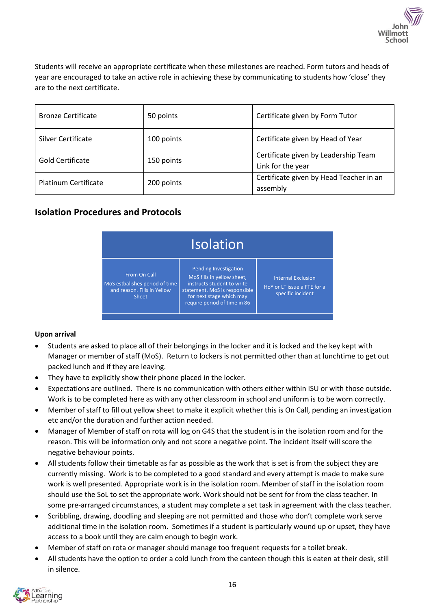

Students will receive an appropriate certificate when these milestones are reached. Form tutors and heads of year are encouraged to take an active role in achieving these by communicating to students how 'close' they are to the next certificate.

| <b>Bronze Certificate</b>   | 50 points  | Certificate given by Form Tutor                           |
|-----------------------------|------------|-----------------------------------------------------------|
| Silver Certificate          | 100 points | Certificate given by Head of Year                         |
| <b>Gold Certificate</b>     | 150 points | Certificate given by Leadership Team<br>Link for the year |
| <b>Platinum Certificate</b> | 200 points | Certificate given by Head Teacher in an<br>assembly       |

# **Isolation Procedures and Protocols**

| <b>Isolation</b>                                                                              |                                                                                                                                                                                |                                                                               |
|-----------------------------------------------------------------------------------------------|--------------------------------------------------------------------------------------------------------------------------------------------------------------------------------|-------------------------------------------------------------------------------|
| From On Call<br>MoS estbalishes period of time<br>and reason. Fills in Yellow<br><b>Sheet</b> | Pending Investigation<br>MoS fills in yellow sheet,<br>instructs student to write<br>statement. MoS is responsible<br>for next stage which may<br>require period of time in 86 | <b>Internal Exclusion</b><br>HoY or LT issue a FTE for a<br>specific incident |

#### **Upon arrival**

- Students are asked to place all of their belongings in the locker and it is locked and the key kept with Manager or member of staff (MoS). Return to lockers is not permitted other than at lunchtime to get out packed lunch and if they are leaving.
- They have to explicitly show their phone placed in the locker.
- Expectations are outlined. There is no communication with others either within ISU or with those outside. Work is to be completed here as with any other classroom in school and uniform is to be worn correctly.
- Member of staff to fill out yellow sheet to make it explicit whether this is On Call, pending an investigation etc and/or the duration and further action needed.
- Manager of Member of staff on rota will log on G4S that the student is in the isolation room and for the reason. This will be information only and not score a negative point. The incident itself will score the negative behaviour points.
- All students follow their timetable as far as possible as the work that is set is from the subject they are currently missing. Work is to be completed to a good standard and every attempt is made to make sure work is well presented. Appropriate work is in the isolation room. Member of staff in the isolation room should use the SoL to set the appropriate work. Work should not be sent for from the class teacher. In some pre-arranged circumstances, a student may complete a set task in agreement with the class teacher.
- Scribbling, drawing, doodling and sleeping are not permitted and those who don't complete work serve additional time in the isolation room. Sometimes if a student is particularly wound up or upset, they have access to a book until they are calm enough to begin work.
- Member of staff on rota or manager should manage too frequent requests for a toilet break.
- All students have the option to order a cold lunch from the canteen though this is eaten at their desk, still in silence.